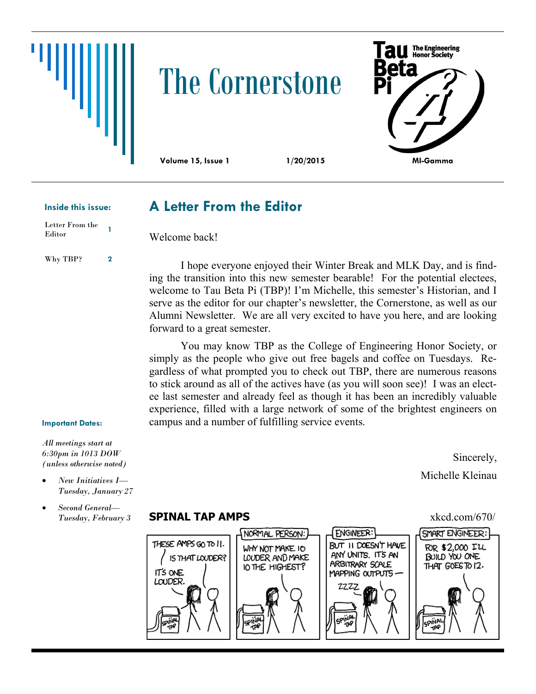# The Cornerstone



**A Letter From the Editor**

Welcome back!

#### **Inside this issue:**

Letter From the Editor **<sup>1</sup>**

Why TBP? **2**

I hope everyone enjoyed their Winter Break and MLK Day, and is finding the transition into this new semester bearable! For the potential electees, welcome to Tau Beta Pi (TBP)! I'm Michelle, this semester's Historian, and I serve as the editor for our chapter's newsletter, the Cornerstone, as well as our Alumni Newsletter. We are all very excited to have you here, and are looking forward to a great semester.

You may know TBP as the College of Engineering Honor Society, or simply as the people who give out free bagels and coffee on Tuesdays. Regardless of what prompted you to check out TBP, there are numerous reasons to stick around as all of the actives have (as you will soon see)! I was an electee last semester and already feel as though it has been an incredibly valuable experience, filled with a large network of some of the brightest engineers on campus and a number of fulfilling service events.

#### **Important Dates:**

*All meetings start at 6:30pm in 1013 DOW (unless otherwise noted)*

- *New Initiatives I— Tuesday, January 27*
- *Second General— Tuesday, February 3*

### **SPINAL TAP AMPS**  $x \times 10^{16}$  xkcd.com/670/



Michelle Kleinau

Sincerely,